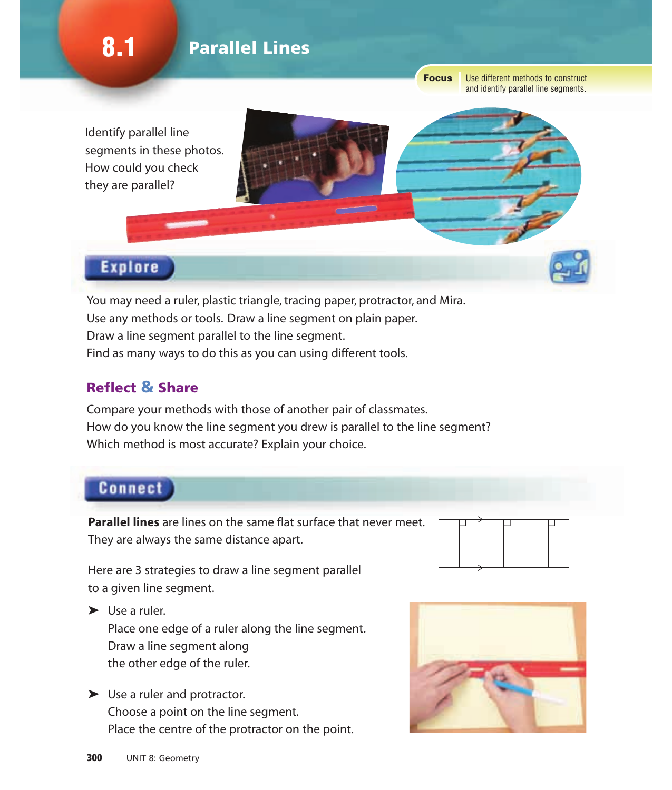8.1 **Parallel Lines** 

**Focus** 

Use different methods to construct and identify parallel line segments.

Identify parallel line segments in these photos. How could you check they are parallel?



# **Explore**

You may need a ruler, plastic triangle, tracing paper, protractor, and Mira. Use any methods or tools. Draw a line segment on plain paper. Draw a line segment parallel to the line segment. Find as many ways to do this as you can using different tools.

## Reflect & Share

Compare your methods with those of another pair of classmates. How do you know the line segment you drew is parallel to the line segment? Which method is most accurate? Explain your choice.

# **Connect**

**Parallel lines** are lines on the same flat surface that never meet. They are always the same distance apart.

Here are 3 strategies to draw a line segment parallel to a given line segment.

 $\blacktriangleright$  Use a ruler.

Place one edge of a ruler along the line segment. Draw a line segment along the other edge of the ruler.

► Use a ruler and protractor. Choose a point on the line segment. Place the centre of the protractor on the point.



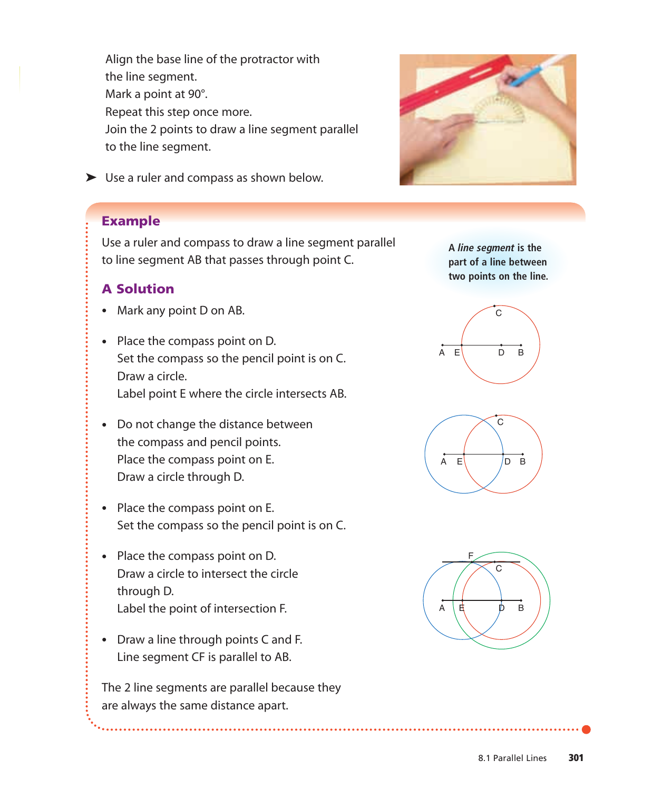Align the base line of the protractor with the line segment. Mark a point at 90°. Repeat this step once more. Join the 2 points to draw a line segment parallel to the line segment.



➤ Use a ruler and compass as shown below.

#### Example

Use a ruler and compass to draw a line segment parallel to line segment AB that passes through point C.

#### A Solution

- Mark any point D on AB.
- Place the compass point on D. Set the compass so the pencil point is on C. Draw a circle. Label point E where the circle intersects AB.
- Do not change the distance between the compass and pencil points. Place the compass point on E. Draw a circle through D.
- Place the compass point on E. Set the compass so the pencil point is on C.
- Place the compass point on D. Draw a circle to intersect the circle through D. Label the point of intersection F.
- Draw a line through points C and F. Line segment CF is parallel to AB.

The 2 line segments are parallel because they are always the same distance apart.

**A** *line segment* **is the part of a line between two points on the line.**





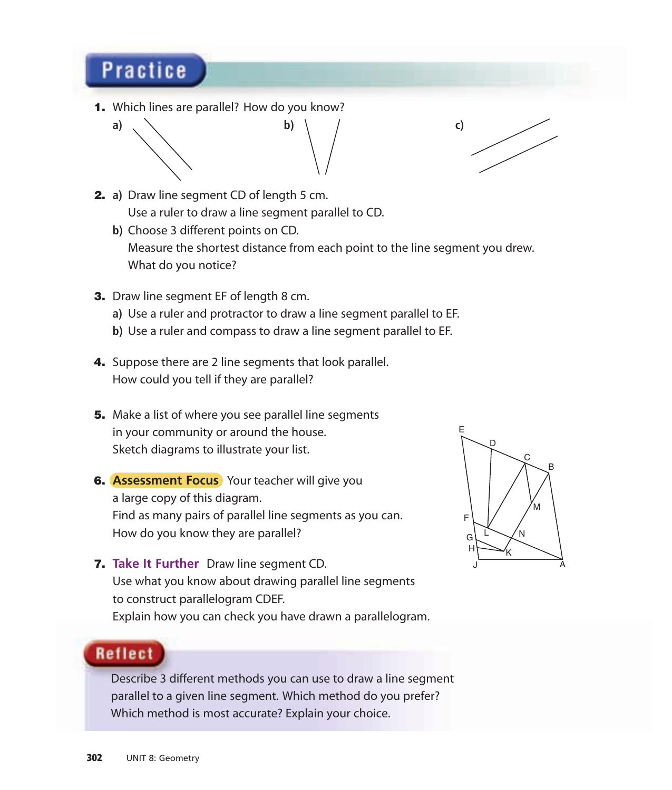# **Practice**

1. Which lines are parallel? How do you know?





- 2. **a)** Draw line segment CD of length 5 cm. Use a ruler to draw a line segment parallel to CD.
	- **b)** Choose 3 different points on CD. Measure the shortest distance from each point to the line segment you drew. What do you notice?
- **3.** Draw line segment EF of length 8 cm.
	- **a)** Use a ruler and protractor to draw a line segment parallel to EF.
	- **b)** Use a ruler and compass to draw a line segment parallel to EF.
- 4. Suppose there are 2 line segments that look parallel. How could you tell if they are parallel?
- **5.** Make a list of where you see parallel line segments in your community or around the house. Sketch diagrams to illustrate your list.
- 6. **Assessment Focus** Your teacher will give you a large copy of this diagram. Find as many pairs of parallel line segments as you can. How do you know they are parallel?
- 7. **Take It Further** Draw line segment CD. Use what you know about drawing parallel line segments to construct parallelogram CDEF. Explain how you can check you have drawn a parallelogram.



# **Reflect**

Describe 3 different methods you can use to draw a line segment parallel to a given line segment. Which method do you prefer? Which method is most accurate? Explain your choice.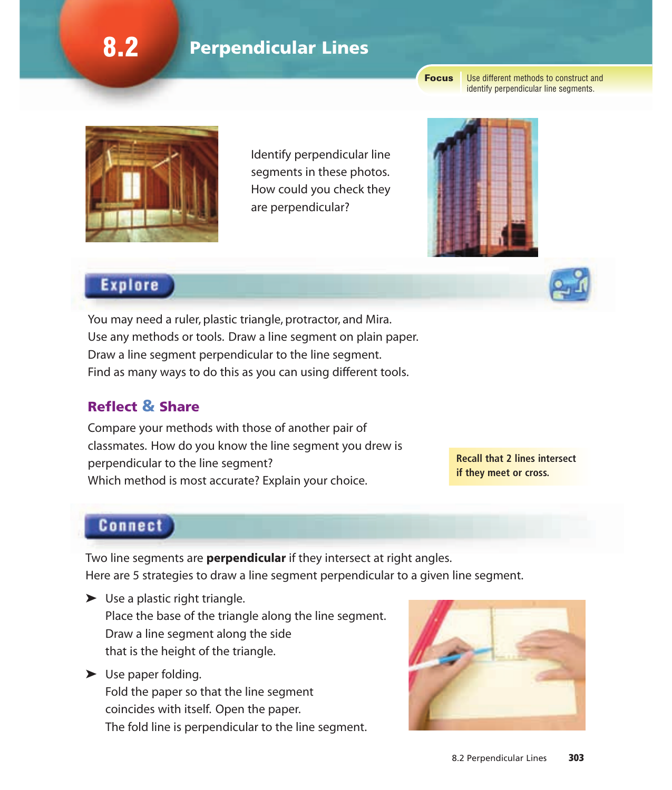# 8.2 **Perpendicular Lines**

**Focus** 

Use different methods to construct and identify perpendicular line segments.



Identify perpendicular line segments in these photos. How could you check they are perpendicular?



# **Explore**

You may need a ruler, plastic triangle, protractor, and Mira. Use any methods or tools. Draw a line segment on plain paper. Draw a line segment perpendicular to the line segment. Find as many ways to do this as you can using different tools.

## Reflect & Share

Compare your methods with those of another pair of classmates. How do you know the line segment you drew is perpendicular to the line segment? Which method is most accurate? Explain your choice.

**Recall that 2 lines intersect if they meet or cross.**

## **Connect**

Two line segments are **perpendicular** if they intersect at right angles. Here are 5 strategies to draw a line segment perpendicular to a given line segment.

- $\blacktriangleright$  Use a plastic right triangle. Place the base of the triangle along the line segment. Draw a line segment along the side that is the height of the triangle.
- ➤ Use paper folding. Fold the paper so that the line segment coincides with itself. Open the paper. The fold line is perpendicular to the line segment.

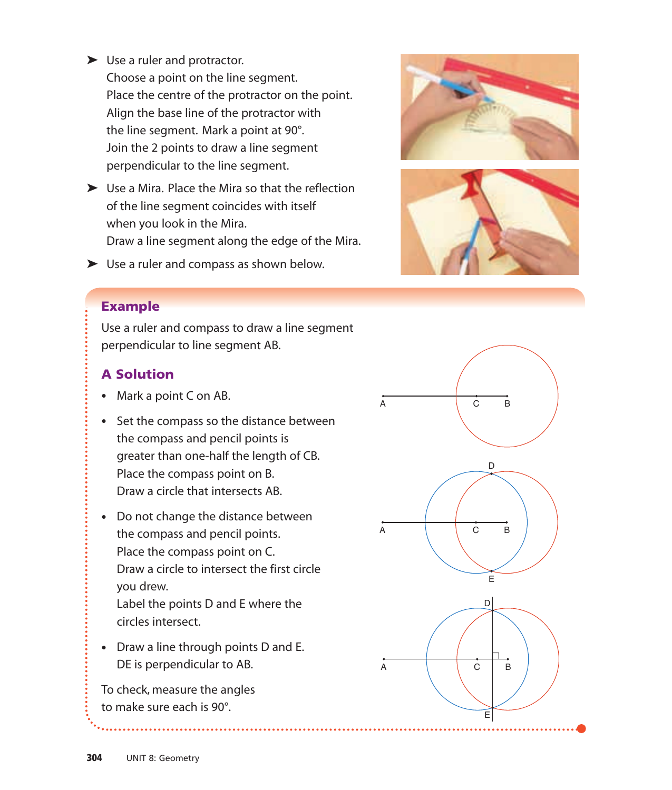► Use a ruler and protractor.

Choose a point on the line segment. Place the centre of the protractor on the point. Align the base line of the protractor with the line segment. Mark a point at 90°. Join the 2 points to draw a line segment perpendicular to the line segment.

- ➤ Use a Mira. Place the Mira so that the reflection of the line segment coincides with itself when you look in the Mira. Draw a line segment along the edge of the Mira.
- ➤ Use a ruler and compass as shown below.





### Example

Use a ruler and compass to draw a line segment perpendicular to line segment AB.

## A Solution

- Mark a point C on AB.
- Set the compass so the distance between the compass and pencil points is greater than one-half the length of CB. Place the compass point on B. Draw a circle that intersects AB.
- Do not change the distance between the compass and pencil points. Place the compass point on C. Draw a circle to intersect the first circle you drew. Label the points D and E where the circles intersect.
- Draw a line through points D and E. DE is perpendicular to AB.

To check, measure the angles to make sure each is 90°.